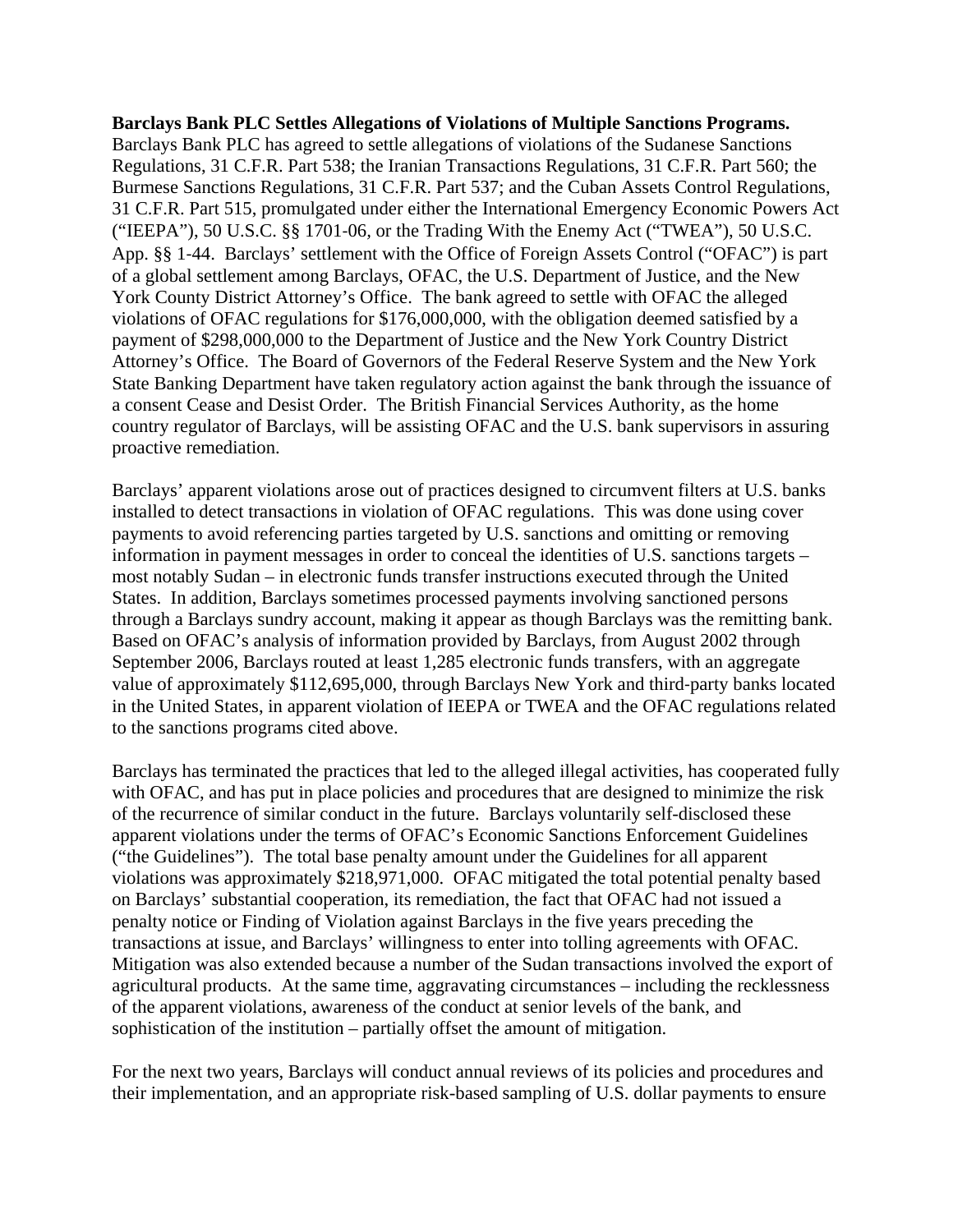## **Barclays Bank PLC Settles Allegations of Violations of Multiple Sanctions Programs.**

Barclays Bank PLC has agreed to settle allegations of violations of the Sudanese Sanctions Regulations, 31 C.F.R. Part 538; the Iranian Transactions Regulations, 31 C.F.R. Part 560; the Burmese Sanctions Regulations, 31 C.F.R. Part 537; and the Cuban Assets Control Regulations, 31 C.F.R. Part 515, promulgated under either the International Emergency Economic Powers Act ("IEEPA"), 50 U.S.C. §§ 1701‐06*,* or the Trading With the Enemy Act ("TWEA"), 50 U.S.C. App. §§ 1‐44. Barclays' settlement with the Office of Foreign Assets Control ("OFAC") is part of a global settlement among Barclays, OFAC, the U.S. Department of Justice, and the New York County District Attorney's Office. The bank agreed to settle with OFAC the alleged violations of OFAC regulations for \$176,000,000, with the obligation deemed satisfied by a payment of \$298,000,000 to the Department of Justice and the New York Country District Attorney's Office. The Board of Governors of the Federal Reserve System and the New York State Banking Department have taken regulatory action against the bank through the issuance of a consent Cease and Desist Order. The British Financial Services Authority, as the home country regulator of Barclays, will be assisting OFAC and the U.S. bank supervisors in assuring proactive remediation.

Barclays' apparent violations arose out of practices designed to circumvent filters at U.S. banks installed to detect transactions in violation of OFAC regulations. This was done using cover payments to avoid referencing parties targeted by U.S. sanctions and omitting or removing information in payment messages in order to conceal the identities of U.S. sanctions targets – most notably Sudan – in electronic funds transfer instructions executed through the United States. In addition, Barclays sometimes processed payments involving sanctioned persons through a Barclays sundry account, making it appear as though Barclays was the remitting bank. Based on OFAC's analysis of information provided by Barclays, from August 2002 through September 2006, Barclays routed at least 1,285 electronic funds transfers, with an aggregate value of approximately \$112,695,000, through Barclays New York and third‐party banks located in the United States, in apparent violation of IEEPA or TWEA and the OFAC regulations related to the sanctions programs cited above.

Barclays has terminated the practices that led to the alleged illegal activities, has cooperated fully with OFAC, and has put in place policies and procedures that are designed to minimize the risk of the recurrence of similar conduct in the future. Barclays voluntarily self-disclosed these apparent violations under the terms of OFAC's Economic Sanctions Enforcement Guidelines ("the Guidelines"). The total base penalty amount under the Guidelines for all apparent violations was approximately \$218,971,000. OFAC mitigated the total potential penalty based on Barclays' substantial cooperation, its remediation, the fact that OFAC had not issued a penalty notice or Finding of Violation against Barclays in the five years preceding the transactions at issue, and Barclays' willingness to enter into tolling agreements with OFAC. Mitigation was also extended because a number of the Sudan transactions involved the export of agricultural products. At the same time, aggravating circumstances – including the recklessness of the apparent violations, awareness of the conduct at senior levels of the bank, and sophistication of the institution – partially offset the amount of mitigation.

For the next two years, Barclays will conduct annual reviews of its policies and procedures and their implementation, and an appropriate risk-based sampling of U.S. dollar payments to ensure